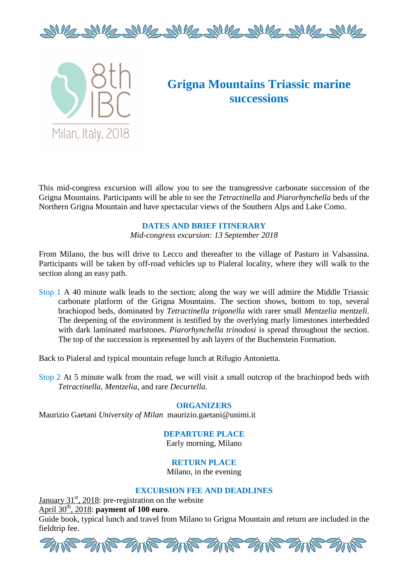



# **Grigna Mountains Triassic marine successions**

This mid-congress excursion will allow you to see the transgressive carbonate succession of the Grigna Mountains. Participants will be able to see the *Tetractinella* and *Piarorhynchella* beds of the Northern Grigna Mountain and have spectacular views of the Southern Alps and Lake Como.

### **DATES AND BRIEF ITINERARY**

*Mid-congress excursion: 13 September 2018* 

From Milano, the bus will drive to Lecco and thereafter to the village of Pasturo in Valsassina. Participants will be taken by off-road vehicles up to Pialeral locality, where they will walk to the section along an easy path.

Stop 1 A 40 minute walk leads to the section; along the way we will admire the Middle Triassic carbonate platform of the Grigna Mountains. The section shows, bottom to top, several brachiopod beds, dominated by *Tetractinella trigonella* with rarer small *Mentzelia mentzeli*. The deepening of the environment is testified by the overlying marly limestones interbedded with dark laminated marlstones. *Piarorhynchella trinodosi* is spread throughout the section. The top of the succession is represented by ash layers of the Buchenstein Formation.

Back to Pialeral and typical mountain refuge lunch at Rifugio Antonietta.

Stop 2 At 5 minute walk from the road, we will visit a small outcrop of the brachiopod beds with *Tetractinella, Mentzelia*, and rare *Decurtella*.

#### **ORGANIZERS**

Maurizio Gaetani *University of Milan* maurizio.gaetani@unimi.it

## **DEPARTURE PLACE**

Early morning, Milano

## **RETURN PLACE**

Milano, in the evening

### **EXCURSION FEE AND DEADLINES**

January  $31<sup>st</sup>$ , 2018: pre-registration on the website April 30<sup>th</sup>, 2018: **payment of 100 euro**. Guide book, typical lunch and travel from Milano to Grigna Mountain and return are included in the fieldtrip fee.